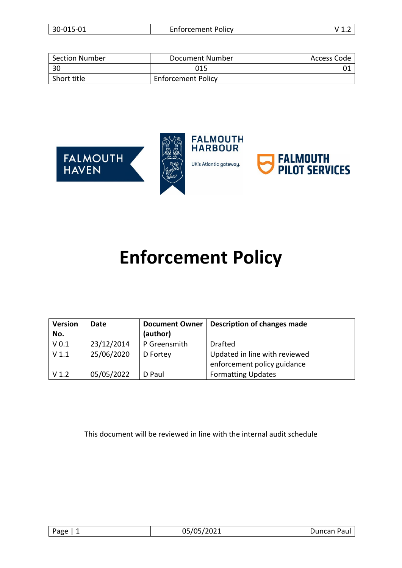|  | 30-015-01 | <b>Enforcement Policy</b> | . . <u>.</u> |
|--|-----------|---------------------------|--------------|
|--|-----------|---------------------------|--------------|

| <b>Section Number</b> | Document Number           | Access Code |
|-----------------------|---------------------------|-------------|
| 30                    | 015                       |             |
| Short title           | <b>Enforcement Policy</b> |             |



# **Enforcement Policy**

| <b>Version</b><br>No. | Date       | <b>Document Owner</b><br>(author) | <b>Description of changes made</b> |
|-----------------------|------------|-----------------------------------|------------------------------------|
| V <sub>0.1</sub>      | 23/12/2014 | P Greensmith                      | <b>Drafted</b>                     |
| V <sub>1.1</sub>      | 25/06/2020 | D Fortey                          | Updated in line with reviewed      |
|                       |            |                                   | enforcement policy guidance        |
| V <sub>1.2</sub>      | 05/05/2022 | D Paul                            | <b>Formatting Updates</b>          |

This document will be reviewed in line with the internal audit schedule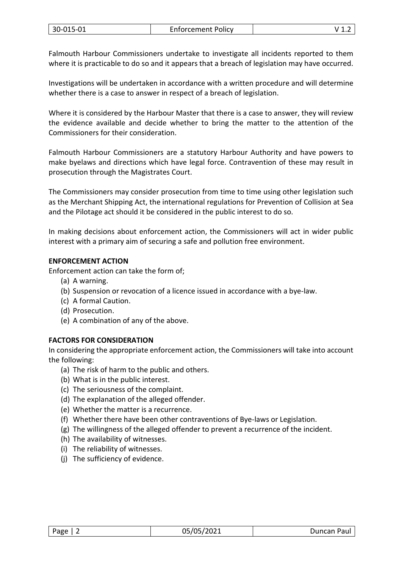Falmouth Harbour Commissioners undertake to investigate all incidents reported to them where it is practicable to do so and it appears that a breach of legislation may have occurred.

Investigations will be undertaken in accordance with a written procedure and will determine whether there is a case to answer in respect of a breach of legislation.

Where it is considered by the Harbour Master that there is a case to answer, they will review the evidence available and decide whether to bring the matter to the attention of the Commissioners for their consideration.

Falmouth Harbour Commissioners are a statutory Harbour Authority and have powers to make byelaws and directions which have legal force. Contravention of these may result in prosecution through the Magistrates Court.

The Commissioners may consider prosecution from time to time using other legislation such as the Merchant Shipping Act, the international regulations for Prevention of Collision at Sea and the Pilotage act should it be considered in the public interest to do so.

In making decisions about enforcement action, the Commissioners will act in wider public interest with a primary aim of securing a safe and pollution free environment.

# **ENFORCEMENT ACTION**

Enforcement action can take the form of;

- (a) A warning.
- (b) Suspension or revocation of a licence issued in accordance with a bye-law.
- (c) A formal Caution.
- (d) Prosecution.
- (e) A combination of any of the above.

# **FACTORS FOR CONSIDERATION**

In considering the appropriate enforcement action, the Commissioners will take into account the following:

- (a) The risk of harm to the public and others.
- (b) What is in the public interest.
- (c) The seriousness of the complaint.
- (d) The explanation of the alleged offender.
- (e) Whether the matter is a recurrence.
- (f) Whether there have been other contraventions of Bye-laws or Legislation.
- (g) The willingness of the alleged offender to prevent a recurrence of the incident.
- (h) The availability of witnesses.
- (i) The reliability of witnesses.
- (j) The sufficiency of evidence.

| Page | 05/05/2021 | Duncan Paul |
|------|------------|-------------|